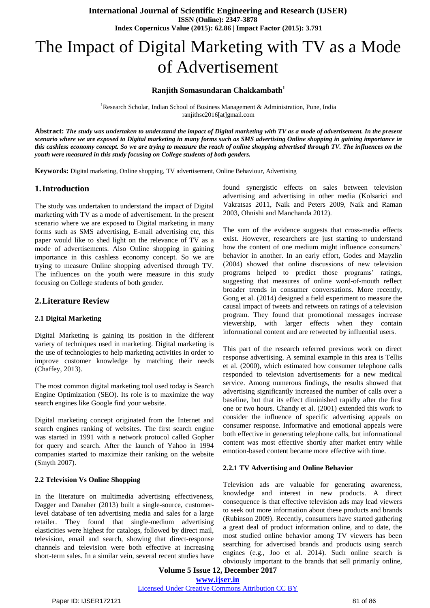# The Impact of Digital Marketing with TV as a Mode of Advertisement

#### **Ranjith Somasundaran Chakkambath<sup>1</sup>**

<sup>1</sup>Research Scholar, Indian School of Business Management & Administration, Pune, India ranjithsc2016[at]gmail.com

Abstract: The study was undertaken to understand the impact of Digital marketing with TV as a mode of advertisement. In the present scenario where we are exposed to Digital marketing in many forms such as SMS advertising Online shopping in gaining importance in this cashless economy concept. So we are trying to measure the reach of online shopping advertised through TV. The influences on the *youth were measured in this study focusing on College students of both genders.*

**Keywords:** Digital marketing, Online shopping, TV advertisement, Online Behaviour, Advertising

#### **1.Introduction**

The study was undertaken to understand the impact of Digital marketing with TV as a mode of advertisement. In the present scenario where we are exposed to Digital marketing in many forms such as SMS advertising, E-mail advertising etc, this paper would like to shed light on the relevance of TV as a mode of advertisements. Also Online shopping in gaining importance in this cashless economy concept. So we are trying to measure Online shopping advertised through TV. The influences on the youth were measure in this study focusing on College students of both gender.

## **2.Literature Review**

#### **2.1 Digital Marketing**

Digital Marketing is gaining its position in the different variety of techniques used in marketing. Digital marketing is the use of technologies to help marketing activities in order to improve customer knowledge by matching their needs (Chaffey, 2013).

The most common digital marketing tool used today is Search Engine Optimization (SEO). Its role is to maximize the way search engines like Google find your website.

Digital marketing concept originated from the Internet and search engines ranking of websites. The first search engine was started in 1991 with a network protocol called Gopher for query and search. After the launch of Yahoo in 1994 companies started to maximize their ranking on the website (Smyth 2007).

#### **2.2 Television Vs Online Shopping**

In the literature on multimedia advertising effectiveness, Dagger and Danaher (2013) built a single-source, customerlevel database of ten advertising media and sales for a large retailer. They found that single-medium advertising elasticities were highest for catalogs, followed by direct mail, television, email and search, showing that direct-response channels and television were both effective at increasing short-term sales. In a similar vein, several recent studies have

found synergistic effects on sales between television advertising and advertising in other media (Kolsarici and Vakratsas 2011, Naik and Peters 2009, Naik and Raman 2003, Ohnishi and Manchanda 2012).

The sum of the evidence suggests that cross-media effects exist. However, researchers are just starting to understand how the content of one medium might influence consumers' behavior in another. In an early effort, Godes and Mayzlin (2004) showed that online discussions of new television programs helped to predict those programs' ratings, suggesting that measures of online word-of-mouth reflect broader trends in consumer conversations. More recently, Gong et al. (2014) designed a field experiment to measure the causal impact of tweets and retweets on ratings of a television program. They found that promotional messages increase viewership, with larger effects when they contain informational content and are retweeted by influential users.

This part of the research referred previous work on direct response advertising. A seminal example in this area is Tellis et al. (2000), which estimated how consumer telephone calls responded to television advertisements for a new medical service. Among numerous findings, the results showed that advertising significantly increased the number of calls over a baseline, but that its effect diminished rapidly after the first one or two hours. Chandy et al. (2001) extended this work to consider the influence of specific advertising appeals on consumer response. Informative and emotional appeals were both effective in generating telephone calls, but informational content was most effective shortly after market entry while emotion-based content became more effective with time.

#### **2.2.1 TV Advertising and Online Behavior**

Television ads are valuable for generating awareness, knowledge and interest in new products. A direct consequence is that effective television ads may lead viewers to seek out more information about these products and brands (Rubinson 2009). Recently, consumers have started gathering a great deal of product information online, and to date, the most studied online behavior among TV viewers has been searching for advertised brands and products using search engines (e.g., Joo et al. 2014). Such online search is obviously important to the brands that sell primarily online,

**Volume 5 Issue 12, December 2017 [www.ijser.in](file:///G:\www.ijser.in\Documents\www.ijser.in)** [Licensed Under Creative Commons Attribution CC BY](http://creativecommons.org/licenses/by/4.0/)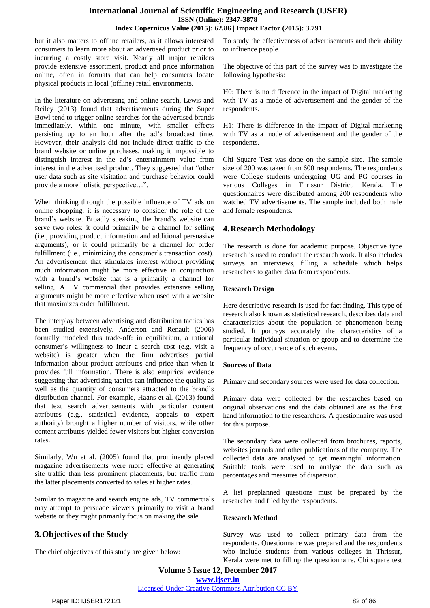## **International Journal of Scientific Engineering and Research (IJSER) ISSN (Online): 2347-3878 Index Copernicus Value (2015): 62.86 | Impact Factor (2015): 3.791**

but it also matters to offline retailers, as it allows interested consumers to learn more about an advertised product prior to incurring a costly store visit. Nearly all major retailers provide extensive assortment, product and price information online, often in formats that can help consumers locate physical products in local (offline) retail environments.

In the literature on advertising and online search, Lewis and Reiley (2013) found that advertisements during the Super Bowl tend to trigger online searches for the advertised brands immediately, within one minute, with smaller effects persisting up to an hour after the ad's broadcast time. However, their analysis did not include direct traffic to the brand website or online purchases, making it impossible to distinguish interest in the ad's entertainment value from interest in the advertised product. They suggested that "other user data such as site visitation and purchase behavior could provide a more holistic perspective…".

When thinking through the possible influence of TV ads on online shopping, it is necessary to consider the role of the brand's website. Broadly speaking, the brand's website can serve two roles: it could primarily be a channel for selling (i.e., providing product information and additional persuasive arguments), or it could primarily be a channel for order fulfillment (i.e., minimizing the consumer's transaction cost). An advertisement that stimulates interest without providing much information might be more effective in conjunction with a brand's website that is a primarily a channel for selling. A TV commercial that provides extensive selling arguments might be more effective when used with a website that maximizes order fulfillment.

The interplay between advertising and distribution tactics has been studied extensively. Anderson and Renault (2006) formally modeled this trade-off: in equilibrium, a rational consumer's willingness to incur a search cost (e.g. visit a website) is greater when the firm advertises partial information about product attributes and price than when it provides full information. There is also empirical evidence suggesting that advertising tactics can influence the quality as well as the quantity of consumers attracted to the brand's distribution channel. For example, Haans et al. (2013) found that text search advertisements with particular content attributes (e.g., statistical evidence, appeals to expert authority) brought a higher number of visitors, while other content attributes yielded fewer visitors but higher conversion rates.

Similarly, Wu et al. (2005) found that prominently placed magazine advertisements were more effective at generating site traffic than less prominent placements, but traffic from the latter placements converted to sales at higher rates.

Similar to magazine and search engine ads, TV commercials may attempt to persuade viewers primarily to visit a brand website or they might primarily focus on making the sale

# **3.Objectives of the Study**

The chief objectives of this study are given below:

To study the effectiveness of advertisements and their ability to influence people.

The objective of this part of the survey was to investigate the following hypothesis:

H0: There is no difference in the impact of Digital marketing with TV as a mode of advertisement and the gender of the respondents.

H1: There is difference in the impact of Digital marketing with TV as a mode of advertisement and the gender of the respondents.

Chi Square Test was done on the sample size. The sample size of 200 was taken from 600 respondents. The respondents were College students undergoing UG and PG courses in various Colleges in Thrissur District, Kerala. The questionnaires were distributed among 200 respondents who watched TV advertisements. The sample included both male and female respondents.

# **4.Research Methodology**

The research is done for academic purpose. Objective type research is used to conduct the research work. It also includes surveys an interviews, filling a schedule which helps researchers to gather data from respondents.

## **Research Design**

Here descriptive research is used for fact finding. This type of research also known as statistical research, describes data and characteristics about the population or phenomenon being studied. It portrays accurately the characteristics of a particular individual situation or group and to determine the frequency of occurrence of such events.

## **Sources of Data**

Primary and secondary sources were used for data collection.

Primary data were collected by the researches based on original observations and the data obtained are as the first hand information to the researchers. A questionnaire was used for this purpose.

The secondary data were collected from brochures, reports, websites journals and other publications of the company. The collected data are analysed to get meaningful information. Suitable tools were used to analyse the data such as percentages and measures of dispersion.

A list preplanned questions must be prepared by the researcher and filed by the respondents.

## **Research Method**

Survey was used to collect primary data from the respondents. Questionnaire was prepared and the respondents who include students from various colleges in Thrissur, Kerala were met to fill up the questionnaire. Chi square test

**Volume 5 Issue 12, December 2017 [www.ijser.in](file:///G:\www.ijser.in\Documents\www.ijser.in)**

[Licensed Under Creative Commons Attribution CC BY](http://creativecommons.org/licenses/by/4.0/)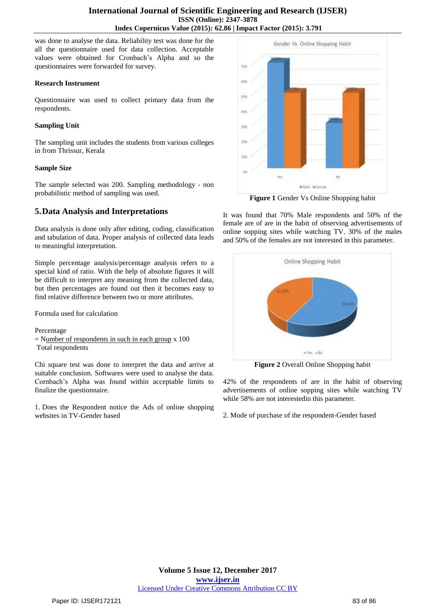was done to analyse the data. Reliability test was done for the all the questionnaire used for data collection. Acceptable values were obtained for Cronbach's Alpha and so the questionnaires were forwarded for survey.

#### **Research Instrument**

Questionnaire was used to collect primary data from the respondents.

#### **Sampling Unit**

The sampling unit includes the students from various colleges in from Thrissur, Kerala

#### **Sample Size**

The sample selected was 200. Sampling methodology - non probabilistic method of sampling was used.

## **5.Data Analysis and Interpretations**

Data analysis is done only after editing, coding, classification and tabulation of data. Proper analysis of collected data leads to meaningful interpretation.

Simple percentage analysis/percentage analysis refers to a special kind of ratio. With the help of absolute figures it will be difficult to interpret any meaning from the collected data, but then percentages are found out then it becomes easy to find relative difference between two or more attributes.

Formula used for calculation

Percentage  $=$  Number of respondents in such in each group x 100 Total respondents

Chi square test was done to interpret the data and arrive at suitable conclusion. Softwares were used to analyse the data. Cornbach's Alpha was found within acceptable limits to finalize the questionnaire.

1. Does the Respondent notice the Ads of online shopping websites in TV-Gender based



**Figure 1** Gender Vs Online Shopping habit

It was found that 70% Male respondents and 50% of the female are of are in the habit of observing advertisements of online sopping sites while watching TV. 30% of the males and 50% of the females are not interested in this parameter.



**Figure 2** Overall Online Shopping habit

42% of the respondents of are in the habit of observing advertisements of online sopping sites while watching TV while 58% are not interestedin this parameter.

2. Mode of purchase of the respondent-Gender based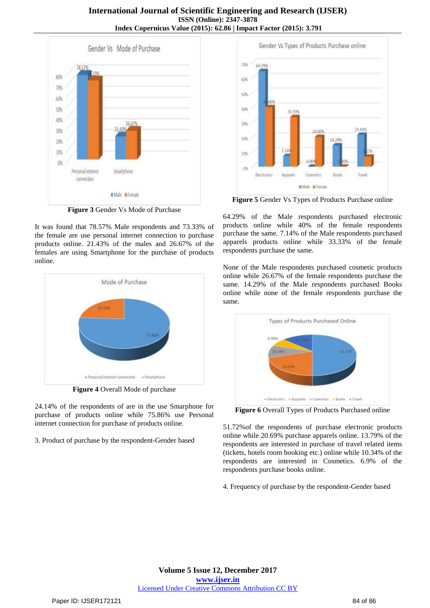## **International Journal of Scientific Engineering and Research (IJSER) ISSN (Online): 2347-3878 Index Copernicus Value (2015): 62.86 | Impact Factor (2015): 3.791**



**Figure 3** Gender Vs Mode of Purchase

It was found that 78.57% Male respondents and 73.33% of the female are use personal internet connection to purchase products online. 21.43% of the males and 26.67% of the females are using Smartphone for the purchase of products online.



**Figure 4** Overall Mode of purchase

24.14% of the respondents of are in the use Smarphone for purchase of products online while 75.86% use Personal internet connection for purchase of products online.

3. Product of purchase by the respondent-Gender based



**Figure 5** Gender Vs Types of Products Purchase online

64.29% of the Male respondents purchased electronic products online while 40% of the female respondents purchase the same. 7.14% of the Male respondents purchased apparels products online while 33.33% of the female respondents purchase the same.

None of the Male respondents purchased cosmetic products online while 26.67% of the female respondents purchase the same. 14.29% of the Male respondents purchased Books online while none of the female respondents purchase the same.



**Figure 6** Overall Types of Products Purchased online

51.72%of the respondents of purchase electronic products online while 20.69% purchase apparels online. 13.79% of the respondents are interested in purchase of travel related items (tickets, hotels room booking etc.) online while 10.34% of the respondents are interested in Cosmetics. 6.9% of the respondents purchase books online.

4. Frequency of purchase by the respondent-Gender based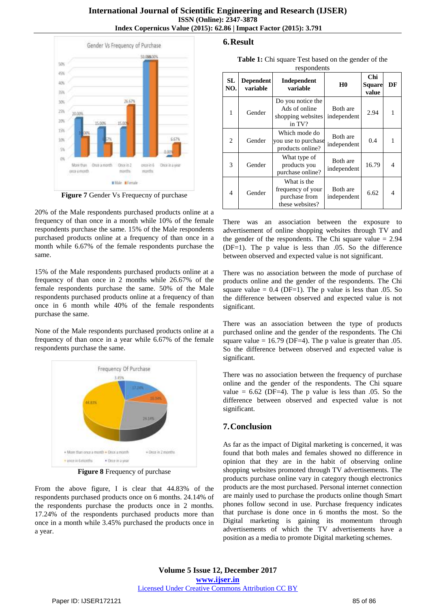#### **International Journal of Scientific Engineering and Research (IJSER) ISSN (Online): 2347-3878 Index Copernicus Value (2015): 62.86 | Impact Factor (2015): 3.791**



**Figure 7** Gender Vs Frequecny of purchase

20% of the Male respondents purchased products online at a frequency of than once in a month while 10% of the female respondents purchase the same. 15% of the Male respondents purchased products online at a frequency of than once in a month while 6.67% of the female respondents purchase the same.

15% of the Male respondents purchased products online at a frequency of than once in 2 months while 26.67% of the female respondents purchase the same. 50% of the Male respondents purchased products online at a frequency of than once in 6 month while 40% of the female respondents purchase the same.

None of the Male respondents purchased products online at a frequency of than once in a year while 6.67% of the female respondents purchase the same.



**Figure 8** Frequency of purchase

From the above figure, I is clear that 44.83% of the respondents purchased products once on 6 months. 24.14% of the respondents purchase the products once in 2 months. 17.24% of the respondents purchased products more than once in a month while 3.45% purchased the products once in a year.

# **6.Result**

**Table 1:** Chi square Test based on the gender of the respondents

| SL<br>NO.      | <b>Dependent</b><br>variable | Independent<br>variable                                              | H <sub>0</sub>          | <b>Chi</b><br><b>Square</b><br>value | DF             |
|----------------|------------------------------|----------------------------------------------------------------------|-------------------------|--------------------------------------|----------------|
| 1              | Gender                       | Do you notice the<br>Ads of online<br>shopping websites<br>in TV?    | Both are<br>independent | 2.94                                 |                |
| 2              | Gender                       | Which mode do<br>you use to purchase<br>products online?             | Both are<br>independent | 0.4                                  |                |
| 3              | Gender                       | What type of<br>products you<br>purchase online?                     | Both are<br>independent | 16.79                                | $\overline{4}$ |
| $\overline{4}$ | Gender                       | What is the<br>frequency of your<br>purchase from<br>these websites? | Both are<br>independent | 6.62                                 | 4              |

There was an association between the exposure to advertisement of online shopping websites through TV and the gender of the respondents. The Chi square value  $= 2.94$ (DF=1). The p value is less than .05. So the difference between observed and expected value is not significant.

There was no association between the mode of purchase of products online and the gender of the respondents. The Chi square value  $= 0.4$  (DF=1). The p value is less than  $.05$ . So the difference between observed and expected value is not significant.

There was an association between the type of products purchased online and the gender of the respondents. The Chi square value =  $16.79$  (DF=4). The p value is greater than  $.05$ . So the difference between observed and expected value is significant.

There was no association between the frequency of purchase online and the gender of the respondents. The Chi square value =  $6.62$  (DF=4). The p value is less than  $.05$ . So the difference between observed and expected value is not significant.

# **7.Conclusion**

As far as the impact of Digital marketing is concerned, it was found that both males and females showed no difference in opinion that they are in the habit of observing online shopping websites promoted through TV advertisements. The products purchase online vary in category though electronics products are the most purchased. Personal internet connection are mainly used to purchase the products online though Smart phones follow second in use. Purchase frequency indicates that purchase is done once in 6 months the most. So the Digital marketing is gaining its momentum through advertisements of which the TV advertisements have a position as a media to promote Digital marketing schemes.